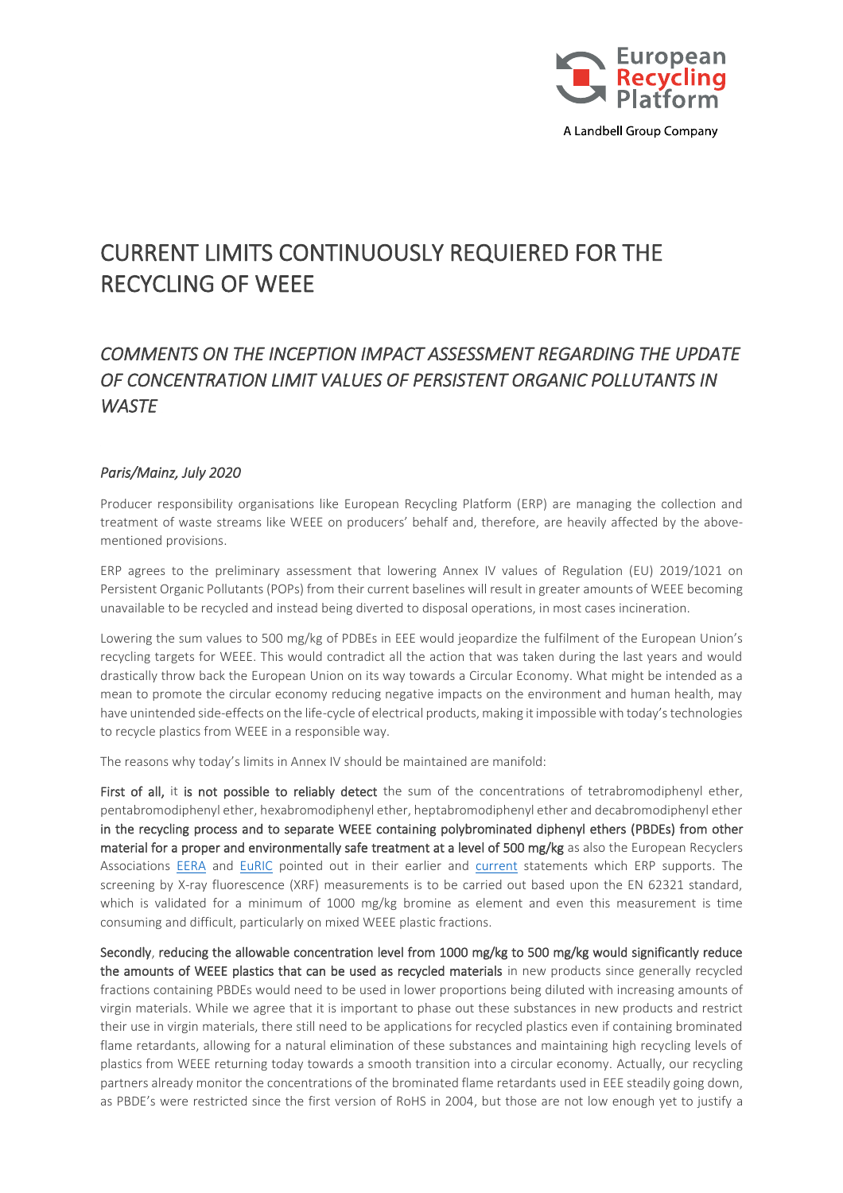

# CURRENT LIMITS CONTINUOUSLY REQUIERED FOR THE RECYCLING OF WEEE

## *COMMENTS ON THE INCEPTION IMPACT ASSESSMENT REGARDING THE UPDATE OF CONCENTRATION LIMIT VALUES OF PERSISTENT ORGANIC POLLUTANTS IN WASTE*

#### *Paris/Mainz, July 2020*

Producer responsibility organisations like European Recycling Platform (ERP) are managing the collection and treatment of waste streams like WEEE on producers' behalf and, therefore, are heavily affected by the abovementioned provisions.

ERP agrees to the preliminary assessment that lowering Annex IV values of Regulation (EU) 2019/1021 on Persistent Organic Pollutants (POPs) from their current baselines will result in greater amounts of WEEE becoming unavailable to be recycled and instead being diverted to disposal operations, in most cases incineration.

Lowering the sum values to 500 mg/kg of PDBEs in EEE would jeopardize the fulfilment of the European Union's recycling targets for WEEE. This would contradict all the action that was taken during the last years and would drastically throw back the European Union on its way towards a Circular Economy. What might be intended as a mean to promote the circular economy reducing negative impacts on the environment and human health, may have unintended side-effects on the life-cycle of electrical products, making it impossible with today's technologies to recycle plastics from WEEE in a responsible way.

The reasons why today's limits in Annex IV should be maintained are manifold:

First of all, it is not possible to reliably detect the sum of the concentrations of tetrabromodiphenyl ether, pentabromodiphenyl ether, hexabromodiphenyl ether, heptabromodiphenyl ether and decabromodiphenyl ether in the recycling process and to separate WEEE containing polybrominated diphenyl ethers (PBDEs) from other material for a proper and environmentally safe treatment at a level of 500 mg/kg as also the European Recyclers Associations [EERA](https://www.eera-recyclers.com/news/responsible-recycling-of-weee-plastics-needs-to-be-saved-in-eu) and [EuRIC](https://www.euric-aisbl.eu/images/PDF/EuRIC_Recast_POP-Regulation_Position_Fin_Jul.2018.pdf) pointed out in their earlier and [current](https://ec.europa.eu/info/law/better-regulation/have-your-say/initiatives/12411-Update-of-concentration-limit-values-of-persistent-organic-pollutants-in-waste/F525253) statements which ERP supports. The screening by X-ray fluorescence (XRF) measurements is to be carried out based upon the EN 62321 standard, which is validated for a minimum of 1000 mg/kg bromine as element and even this measurement is time consuming and difficult, particularly on mixed WEEE plastic fractions.

Secondly, reducing the allowable concentration level from 1000 mg/kg to 500 mg/kg would significantly reduce the amounts of WEEE plastics that can be used as recycled materials in new products since generally recycled fractions containing PBDEs would need to be used in lower proportions being diluted with increasing amounts of virgin materials. While we agree that it is important to phase out these substances in new products and restrict their use in virgin materials, there still need to be applications for recycled plastics even if containing brominated flame retardants, allowing for a natural elimination of these substances and maintaining high recycling levels of plastics from WEEE returning today towards a smooth transition into a circular economy. Actually, our recycling partners already monitor the concentrations of the brominated flame retardants used in EEE steadily going down, as PBDE's were restricted since the first version of RoHS in 2004, but those are not low enough yet to justify a